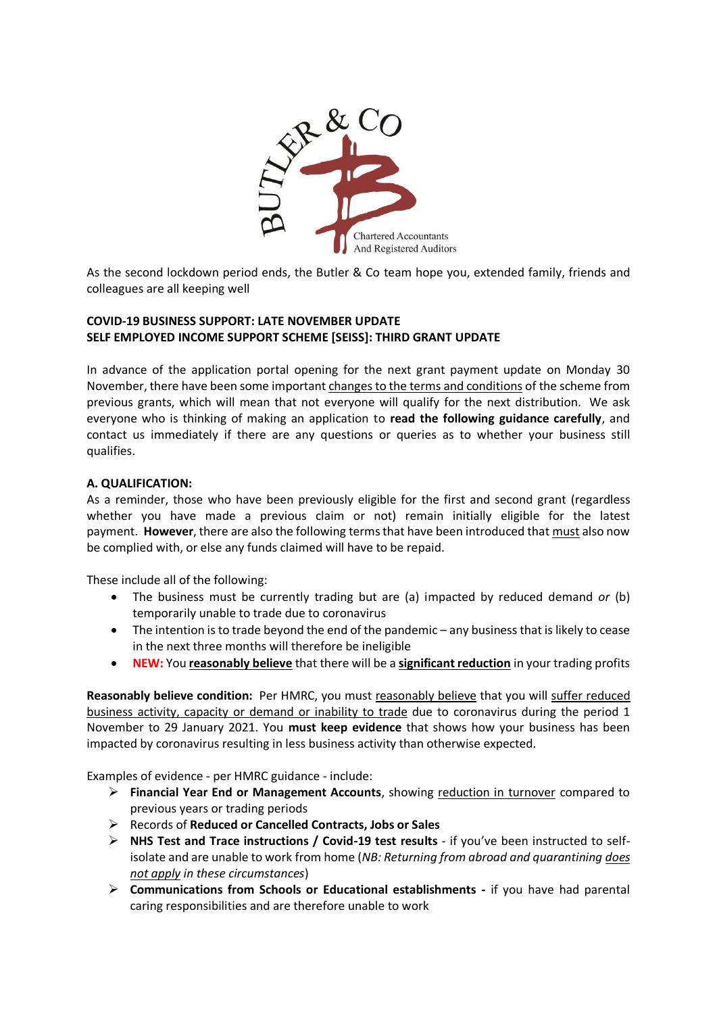

As the second lockdown period ends, the Butler & Co team hope you, extended family, friends and colleagues are all keeping well

# **COVID-19 BUSINESS SUPPORT: LATE NOVEMBER UPDATE SELF EMPLOYED INCOME SUPPORT SCHEME [SEISS]: THIRD GRANT UPDATE**

In advance of the application portal opening for the next grant payment update on Monday 30 November, there have been some important changes to the terms and conditions of the scheme from previous grants, which will mean that not everyone will qualify for the next distribution. We ask everyone who is thinking of making an application to **read the following guidance carefully**, and contact us immediately if there are any questions or queries as to whether your business still qualifies.

# **A. QUALIFICATION:**

As a reminder, those who have been previously eligible for the first and second grant (regardless whether you have made a previous claim or not) remain initially eligible for the latest payment. **However**, there are also the following terms that have been introduced that must also now be complied with, or else any funds claimed will have to be repaid.

These include all of the following:

- The business must be currently trading but are (a) impacted by reduced demand *or* (b) temporarily unable to trade due to coronavirus
- The intention is to trade beyond the end of the pandemic any business that is likely to cease in the next three months will therefore be ineligible
- **NEW:** You **reasonably believe** that there will be a **significant reduction** in your trading profits

**Reasonably believe condition:** Per HMRC, you must reasonably believe that you will suffer reduced business activity, capacity or demand or inability to trade due to coronavirus during the period 1 November to 29 January 2021. You **must keep evidence** that shows how your business has been impacted by coronavirus resulting in less business activity than otherwise expected.

Examples of evidence - per HMRC guidance - include:

- **Financial Year End or Management Accounts**, showing reduction in turnover compared to previous years or trading periods
- Records of **Reduced or Cancelled Contracts, Jobs or Sales**
- **NHS Test and Trace instructions / Covid-19 test results** if you've been instructed to selfisolate and are unable to work from home (*NB: Returning from abroad and quarantining does not apply in these circumstances*)
- **Communications from Schools or Educational establishments -** if you have had parental caring responsibilities and are therefore unable to work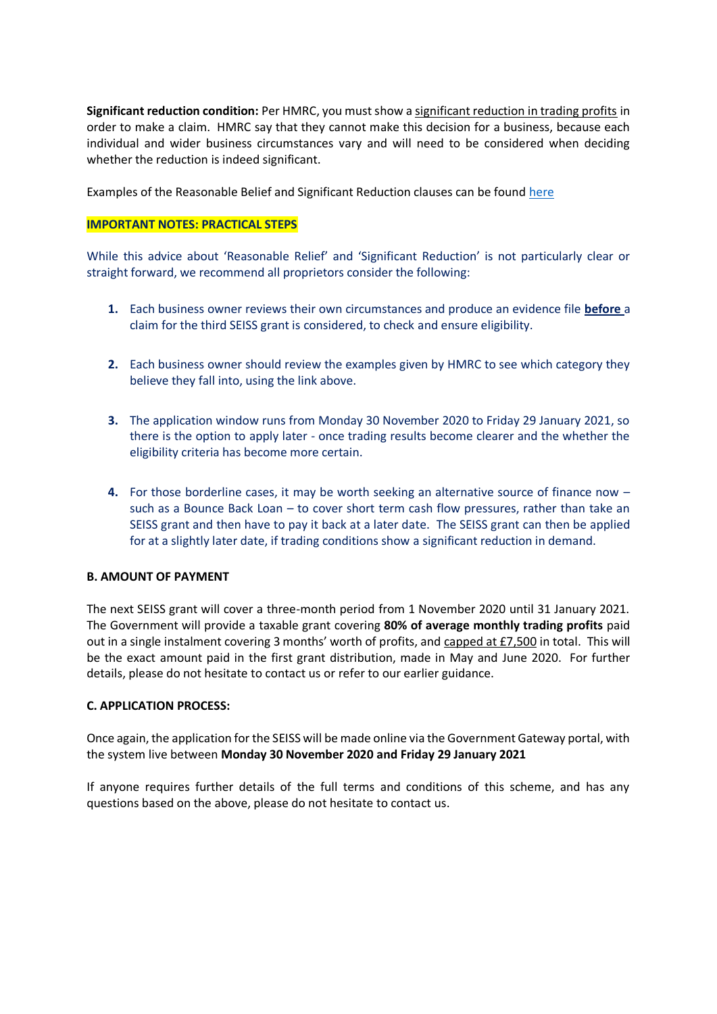**Significant reduction condition:** Per HMRC, you must show a significant reduction in trading profits in order to make a claim. HMRC say that they cannot make this decision for a business, because each individual and wider business circumstances vary and will need to be considered when deciding whether the reduction is indeed significant.

Examples of the Reasonable Belief and Significant Reduction clauses can be found [here](https://www.gov.uk/guidance/how-your-trading-conditions-affect-your-eligibility-for-the-self-employment-income-support-scheme#examples)

# **IMPORTANT NOTES: PRACTICAL STEPS**

While this advice about 'Reasonable Relief' and 'Significant Reduction' is not particularly clear or straight forward, we recommend all proprietors consider the following:

- **1.** Each business owner reviews their own circumstances and produce an evidence file **before** a claim for the third SEISS grant is considered, to check and ensure eligibility.
- **2.** Each business owner should review the examples given by HMRC to see which category they believe they fall into, using the link above.
- **3.** The application window runs from Monday 30 November 2020 to Friday 29 January 2021, so there is the option to apply later - once trading results become clearer and the whether the eligibility criteria has become more certain.
- **4.** For those borderline cases, it may be worth seeking an alternative source of finance now such as a Bounce Back Loan – to cover short term cash flow pressures, rather than take an SEISS grant and then have to pay it back at a later date. The SEISS grant can then be applied for at a slightly later date, if trading conditions show a significant reduction in demand.

### **B. AMOUNT OF PAYMENT**

The next SEISS grant will cover a three-month period from 1 November 2020 until 31 January 2021. The Government will provide a taxable grant covering **80% of average monthly trading profits** paid out in a single instalment covering 3 months' worth of profits, and capped at £7,500 in total. This will be the exact amount paid in the first grant distribution, made in May and June 2020. For further details, please do not hesitate to contact us or refer to our earlier guidance.

### **C. APPLICATION PROCESS:**

Once again, the application for the SEISS will be made online via the Government Gateway portal, with the system live between **Monday 30 November 2020 and Friday 29 January 2021**

If anyone requires further details of the full terms and conditions of this scheme, and has any questions based on the above, please do not hesitate to contact us.